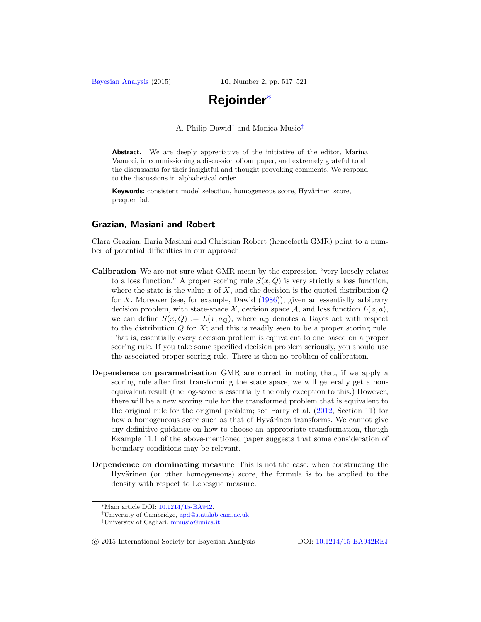<span id="page-0-3"></span>[Bayesian Analysis](http://bayesian.org) (2015) **10**, Number 2, pp. 517–521

# **Rejoinder**[∗](#page-0-0)

A. Philip Dawid[†](#page-0-1) and Monica Musio[‡](#page-0-2)

Abstract. We are deeply appreciative of the initiative of the editor, Marina Vanucci, in commissioning a discussion of our paper, and extremely grateful to all the discussants for their insightful and thought-provoking comments. We respond to the discussions in alphabetical order.

**Keywords:** consistent model selection, homogeneous score, Hyvärinen score, prequential.

## **Grazian, Masiani and Robert**

Clara Grazian, Ilaria Masiani and Christian Robert (henceforth GMR) point to a number of potential difficulties in our approach.

- **Calibration** We are not sure what GMR mean by the expression "very loosely relates to a loss function." A proper scoring rule  $S(x, Q)$  is very strictly a loss function, where the state is the value x of X, and the decision is the quoted distribution  $Q$ for X. Moreover (see, for example, Dawid [\(1986\)](#page-3-0)), given an essentially arbitrary decision problem, with state-space  $\mathcal{X}$ , decision space  $\mathcal{A}$ , and loss function  $L(x, a)$ , we can define  $S(x, Q) := L(x, a_Q)$ , where  $a_Q$  denotes a Bayes act with respect to the distribution  $Q$  for  $X$ ; and this is readily seen to be a proper scoring rule. That is, essentially every decision problem is equivalent to one based on a proper scoring rule. If you take some specified decision problem seriously, you should use the associated proper scoring rule. There is then no problem of calibration.
- **Dependence on parametrisation** GMR are correct in noting that, if we apply a scoring rule after first transforming the state space, we will generally get a nonequivalent result (the log-score is essentially the only exception to this.) However, there will be a new scoring rule for the transformed problem that is equivalent to the original rule for the original problem; see Parry et al. [\(2012](#page-4-0), Section 11) for how a homogeneous score such as that of Hyvärinen transforms. We cannot give any definitive guidance on how to choose an appropriate transformation, though Example 11.1 of the above-mentioned paper suggests that some consideration of boundary conditions may be relevant.
- **Dependence on dominating measure** This is not the case: when constructing the Hyvärinen (or other homogeneous) score, the formula is to be applied to the density with respect to Lebesgue measure.

-c 2015 International Society for Bayesian Analysis DOI: [10.1214/15-BA942REJ](http://dx.doi.org/10.1214/15-BA942REJ)

<span id="page-0-0"></span><sup>∗</sup>Main article DOI: [10.1214/15-BA942.](http://dx.doi.org/10.1214/15-BA942)

<span id="page-0-1"></span><sup>†</sup>University of Cambridge, [apd@statslab.cam.ac.uk](mailto:apd@statslab.cam.ac.uk)

<span id="page-0-2"></span><sup>‡</sup>University of Cagliari, [mmusio@unica.it](mailto:mmusio@unica.it)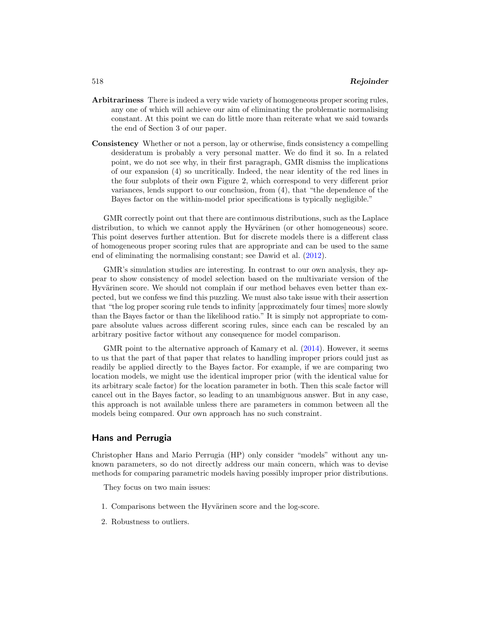- <span id="page-1-2"></span>**Arbitrariness** There is indeed a very wide variety of homogeneous proper scoring rules, any one of which will achieve our aim of eliminating the problematic normalising constant. At this point we can do little more than reiterate what we said towards the end of Section 3 of our paper.
- **Consistency** Whether or not a person, lay or otherwise, finds consistency a compelling desideratum is probably a very personal matter. We do find it so. In a related point, we do not see why, in their first paragraph, GMR dismiss the implications of our expansion (4) so uncritically. Indeed, the near identity of the red lines in the four subplots of their own Figure 2, which correspond to very different prior variances, lends support to our conclusion, from (4), that "the dependence of the Bayes factor on the within-model prior specifications is typically negligible."

GMR correctly point out that there are continuous distributions, such as the Laplace distribution, to which we cannot apply the Hyvärinen (or other homogeneous) score. This point deserves further attention. But for discrete models there is a different class of homogeneous proper scoring rules that are appropriate and can be used to the same end of eliminating the normalising constant; see Dawid et al. [\(2012](#page-3-1)).

GMR's simulation studies are interesting. In contrast to our own analysis, they appear to show consistency of model selection based on the multivariate version of the Hyvärinen score. We should not complain if our method behaves even better than expected, but we confess we find this puzzling. We must also take issue with their assertion that "the log proper scoring rule tends to infinity [approximately four times] more slowly than the Bayes factor or than the likelihood ratio." It is simply not appropriate to compare absolute values across different scoring rules, since each can be rescaled by an arbitrary positive factor without any consequence for model comparison.

GMR point to the alternative approach of Kamary et al.  $(2014)$ . However, it seems to us that the part of that paper that relates to handling improper priors could just as readily be applied directly to the Bayes factor. For example, if we are comparing two location models, we might use the identical improper prior (with the identical value for its arbitrary scale factor) for the location parameter in both. Then this scale factor will cancel out in the Bayes factor, so leading to an unambiguous answer. But in any case, this approach is not available unless there are parameters in common between all the models being compared. Our own approach has no such constraint.

# **Hans and Perrugia**

Christopher Hans and Mario Perrugia (HP) only consider "models" without any unknown parameters, so do not directly address our main concern, which was to devise methods for comparing parametric models having possibly improper prior distributions.

<span id="page-1-0"></span>They focus on two main issues:

- <span id="page-1-1"></span>1. Comparisons between the Hyvärinen score and the log-score.
- 2. Robustness to outliers.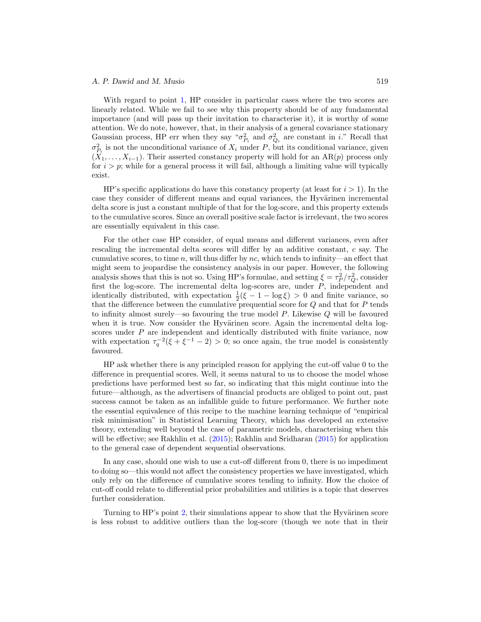#### <span id="page-2-0"></span>*A. P. Dawid and M. Musio* 519

With regard to point [1,](#page-1-0) HP consider in particular cases where the two scores are linearly related. While we fail to see why this property should be of any fundamental importance (and will pass up their invitation to characterise it), it is worthy of some attention. We do note, however, that, in their analysis of a general covariance stationary Gaussian process, HP err when they say " $\sigma_{P_i}^2$  and  $\sigma_{Q_i}^2$  are constant in i." Recall that  $\sigma_{P_i}^2$  is not the unconditional variance of  $X_i$  under P, but its conditional variance, given  $(X_1,\ldots,X_{i-1})$ . Their asserted constancy property will hold for an AR(p) process only for  $i>p$ ; while for a general process it will fail, although a limiting value will typically exist.

HP's specific applications do have this constancy property (at least for  $i > 1$ ). In the case they consider of different means and equal variances, the Hyvärinen incremental delta score is just a constant multiple of that for the log-score, and this property extends to the cumulative scores. Since an overall positive scale factor is irrelevant, the two scores are essentially equivalent in this case.

For the other case HP consider, of equal means and different variances, even after rescaling the incremental delta scores will differ by an additive constant, c say. The cumulative scores, to time n, will thus differ by nc, which tends to infinity—an effect that might seem to jeopardise the consistency analysis in our paper. However, the following analysis shows that this is not so. Using HP's formulae, and setting  $\xi = \tau_P^2/\tau_Q^2$ , consider first the log-score. The incremental delta log-scores are, under  $P$ , independent and identically distributed, with expectation  $\frac{1}{2}(\xi - 1 - \log \xi) > 0$  and finite variance, so that the difference between the cumulative prequential score for Q and that for P tends to infinity almost surely—so favouring the true model P. Likewise Q will be favoured when it is true. Now consider the Hyvärinen score. Again the incremental delta logscores under  $P$  are independent and identically distributed with finite variance, now with expectation  $\tau_q^{-2}(\xi + \xi^{-1} - 2) > 0$ ; so once again, the true model is consistently favoured.

HP ask whether there is any principled reason for applying the cut-off value 0 to the difference in prequential scores. Well, it seems natural to us to choose the model whose predictions have performed best so far, so indicating that this might continue into the future—although, as the advertisers of financial products are obliged to point out, past success cannot be taken as an infallible guide to future performance. We further note the essential equivalence of this recipe to the machine learning technique of "empirical risk minimisation" in Statistical Learning Theory, which has developed an extensive theory, extending well beyond the case of parametric models, characterising when this will be effective; see Rakhlin et al. [\(2015](#page-4-1)); Rakhlin and Sridharan [\(2015\)](#page-4-2) for application to the general case of dependent sequential observations.

In any case, should one wish to use a cut-off different from 0, there is no impediment to doing so—this would not affect the consistency properties we have investigated, which only rely on the difference of cumulative scores tending to infinity. How the choice of cut-off could relate to differential prior probabilities and utilities is a topic that deserves further consideration.

Turning to HP's point [2,](#page-1-1) their simulations appear to show that the Hyvärinen score is less robust to additive outliers than the log-score (though we note that in their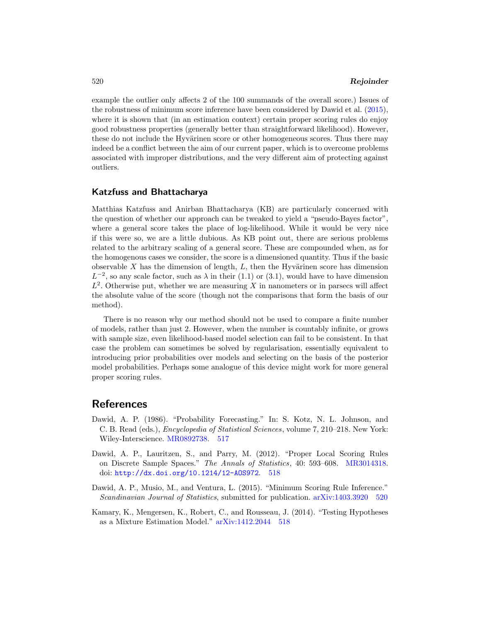<span id="page-3-4"></span>example the outlier only affects 2 of the 100 summands of the overall score.) Issues of the robustness of minimum score inference have been considered by Dawid et al. [\(2015\)](#page-3-3), where it is shown that (in an estimation context) certain proper scoring rules do enjoy good robustness properties (generally better than straightforward likelihood). However, these do not include the Hyvärinen score or other homogeneous scores. Thus there may indeed be a conflict between the aim of our current paper, which is to overcome problems associated with improper distributions, and the very different aim of protecting against outliers.

### **Katzfuss and Bhattacharya**

Matthias Katzfuss and Anirban Bhattacharya (KB) are particularly concerned with the question of whether our approach can be tweaked to yield a "pseudo-Bayes factor", where a general score takes the place of log-likelihood. While it would be very nice if this were so, we are a little dubious. As KB point out, there are serious problems related to the arbitrary scaling of a general score. These are compounded when, as for the homogenous cases we consider, the score is a dimensioned quantity. Thus if the basic observable  $X$  has the dimension of length,  $L$ , then the Hyvärinen score has dimension  $L^{-2}$ , so any scale factor, such as  $\lambda$  in their (1.1) or (3.1), would have to have dimension  $L^2$ . Otherwise put, whether we are measuring X in nanometers or in parsecs will affect the absolute value of the score (though not the comparisons that form the basis of our method).

There is no reason why our method should not be used to compare a finite number of models, rather than just 2. However, when the number is countably infinite, or grows with sample size, even likelihood-based model selection can fail to be consistent. In that case the problem can sometimes be solved by regularisation, essentially equivalent to introducing prior probabilities over models and selecting on the basis of the posterior model probabilities. Perhaps some analogue of this device might work for more general proper scoring rules.

# **References**

- <span id="page-3-0"></span>Dawid, A. P. (1986). "Probability Forecasting." In: S. Kotz, N. L. Johnson, and C. B. Read (eds.), Encyclopedia of Statistical Sciences, volume 7, 210–218. New York: Wiley-Interscience. [MR0892738.](http://www.ams.org/mathscinet-getitem?mr=0892738) [517](#page-0-3)
- <span id="page-3-1"></span>Dawid, A. P., Lauritzen, S., and Parry, M. (2012). "Proper Local Scoring Rules on Discrete Sample Spaces." The Annals of Statistics, 40: 593–608. [MR3014318.](http://www.ams.org/mathscinet-getitem?mr=3014318) doi: <http://dx.doi.org/10.1214/12-AOS972>. [518](#page-1-2)
- <span id="page-3-3"></span>Dawid, A. P., Musio, M., and Ventura, L. (2015). "Minimum Scoring Rule Inference." Scandinavian Journal of Statistics, submitted for publication. [arXiv:1403.3920](http://arxiv.org/abs/arXiv:1403.3920) [520](#page-3-4)
- <span id="page-3-2"></span>Kamary, K., Mengersen, K., Robert, C., and Rousseau, J. (2014). "Testing Hypotheses as a Mixture Estimation Model." [arXiv:1412.2044](http://arxiv.org/abs/arXiv:1412.2044) [518](#page-1-2)